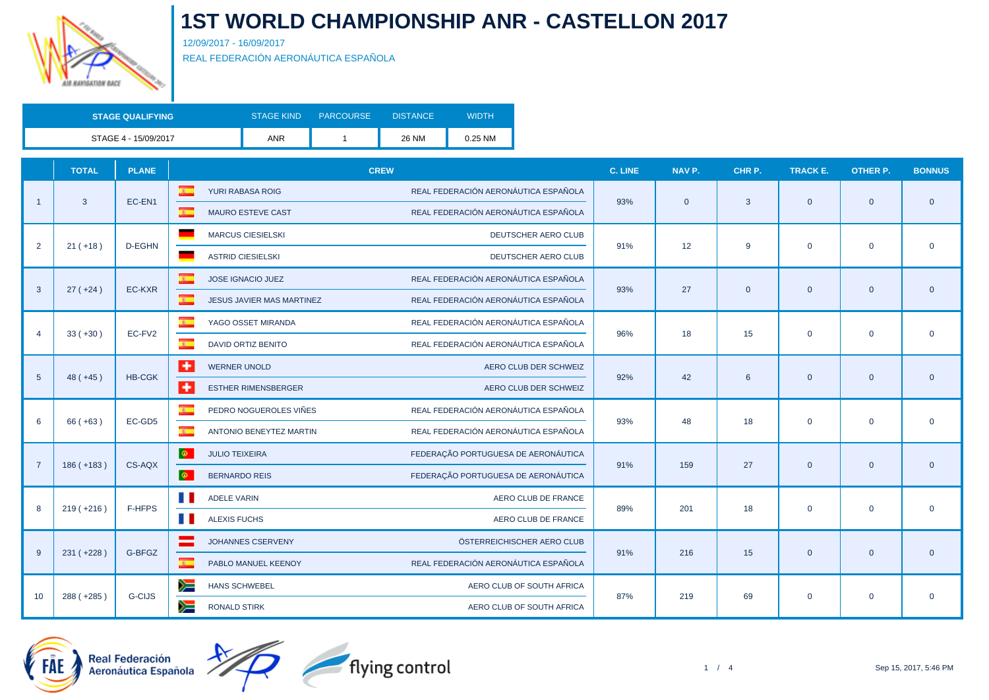

12/09/2017 - 16/09/2017

REAL FEDERACIÓN AERONÁUTICA ESPAÑOLA

| <b>STAGE QUALIFYING</b> | <b>STAGE KIND</b> | <b>PARCOURSE</b> | <b>DISTANCE</b> | WIDTH   |
|-------------------------|-------------------|------------------|-----------------|---------|
| STAGE 4 - 15/09/2017    | ANR               |                  | 26 NM           | 0.25 NM |

|                       | <b>TOTAL</b> | <b>PLANE</b>  | <b>CREW</b>                                        |                                      | C. LINE | NAV P.         | CHR P.       | <b>TRACK E.</b> | <b>OTHER P.</b> | <b>BONNUS</b> |
|-----------------------|--------------|---------------|----------------------------------------------------|--------------------------------------|---------|----------------|--------------|-----------------|-----------------|---------------|
| -1                    |              | EC-EN1        | $\overline{\mathbf{A}}$<br>YURI RABASA ROIG        | REAL FEDERACIÓN AERONÁUTICA ESPAÑOLA | 93%     | $\overline{0}$ | 3            | $\overline{0}$  | $\mathbf{0}$    |               |
|                       | $\mathbf{3}$ |               | $\overline{S}$<br><b>MAURO ESTEVE CAST</b>         | REAL FEDERACIÓN AERONÁUTICA ESPAÑOLA |         |                |              |                 |                 | $\mathbf{0}$  |
|                       |              | D-EGHN        | <b>MARCUS CIESIELSKI</b>                           | DEUTSCHER AERO CLUB                  | 91%     |                |              |                 |                 |               |
| $\overline{2}$        | $21 (+18)$   |               | <b>ASTRID CIESIELSKI</b>                           | DEUTSCHER AERO CLUB                  |         | 12             | 9            | $\mathbf 0$     | $\mathbf 0$     | $\mathbf 0$   |
|                       |              |               | $\mathfrak{D}$<br>JOSE IGNACIO JUEZ                | REAL FEDERACIÓN AERONÁUTICA ESPAÑOLA |         |                |              |                 |                 |               |
| 3                     | $27 (+24)$   | EC-KXR        | $\mathbf{r}$<br>JESUS JAVIER MAS MARTINEZ          | REAL FEDERACIÓN AERONÁUTICA ESPAÑOLA | 93%     | 27             | $\mathbf{0}$ | $\overline{0}$  | $\mathbf{0}$    | $\mathbf 0$   |
|                       |              |               | $\overline{\mathbf{c}}$<br>YAGO OSSET MIRANDA      | REAL FEDERACIÓN AERONÁUTICA ESPAÑOLA |         | 18             |              | $\mathbf 0$     | $\mathbf 0$     | $\mathbf 0$   |
| $\boldsymbol{\Delta}$ | $33 (+30)$   | EC-FV2        | $\overline{\mathbf{z}}$<br>DAVID ORTIZ BENITO      | REAL FEDERACIÓN AERONÁUTICA ESPAÑOLA | 96%     |                | 15           |                 |                 |               |
|                       |              |               | ÷<br><b>WERNER UNOLD</b>                           | AERO CLUB DER SCHWEIZ                | 92%     | 42             | 6            | $\overline{0}$  | $\mathbf{0}$    | $\mathbf{0}$  |
| 5                     | $48 (+45)$   | <b>HB-CGK</b> | $\ddot{\phantom{1}}$<br><b>ESTHER RIMENSBERGER</b> | AERO CLUB DER SCHWEIZ                |         |                |              |                 |                 |               |
|                       |              |               | $\overline{\mathbf{z}}$<br>PEDRO NOGUEROLES VIÑES  | REAL FEDERACIÓN AERONÁUTICA ESPAÑOLA |         |                |              | $\mathbf 0$     | $\mathbf 0$     | $\mathbf 0$   |
| 6                     | $66 (+63)$   | EC-GD5        | $\overline{z}$<br>ANTONIO BENEYTEZ MARTIN          | REAL FEDERACIÓN AERONÁUTICA ESPAÑOLA | 93%     | 48             | 18           |                 |                 |               |
|                       |              | CS-AQX        | $\ddot{\Phi}$<br><b>JULIO TEIXEIRA</b>             | FEDERAÇÃO PORTUGUESA DE AERONÁUTICA  | 91%     | 159            | 27           | $\mathbf{0}$    | $\mathbf{0}$    | $\mathbf 0$   |
| $\overline{7}$        | $186 (+183)$ |               | $\otimes$<br><b>BERNARDO REIS</b>                  | FEDERAÇÃO PORTUGUESA DE AERONÁUTICA  |         |                |              |                 |                 |               |
|                       |              | F-HFPS        | <b>ADELE VARIN</b>                                 | AERO CLUB DE FRANCE                  | 89%     | 201            | 18           |                 | $\mathbf{0}$    |               |
| 8                     | $219 (+216)$ |               | a ka<br><b>ALEXIS FUCHS</b>                        | AERO CLUB DE FRANCE                  |         |                |              | $\mathbf 0$     |                 | $\mathbf 0$   |
|                       |              |               | JOHANNES CSERVENY                                  | ÖSTERREICHISCHER AERO CLUB           |         |                |              |                 |                 |               |
| 9                     | $231 (+228)$ | G-BFGZ        | $\mathbf{c}$<br>PABLO MANUEL KEENOY                | REAL FEDERACIÓN AERONÁUTICA ESPAÑOLA | 91%     | 216            | 15           | $\overline{0}$  | $\mathbf{0}$    | $\mathbf 0$   |
|                       |              |               | ≋<br><b>HANS SCHWEBEL</b>                          | AERO CLUB OF SOUTH AFRICA            |         |                |              |                 |                 |               |
| 10                    | 288 (+285)   | G-CIJS        | y≡<br><b>RONALD STIRK</b>                          | AERO CLUB OF SOUTH AFRICA            | 87%     | 219            | 69           | $\mathbf 0$     | $\mathbf 0$     | $\mathbf 0$   |



مہ<br>19 Real Federación<br>4 Aeronáutica Española

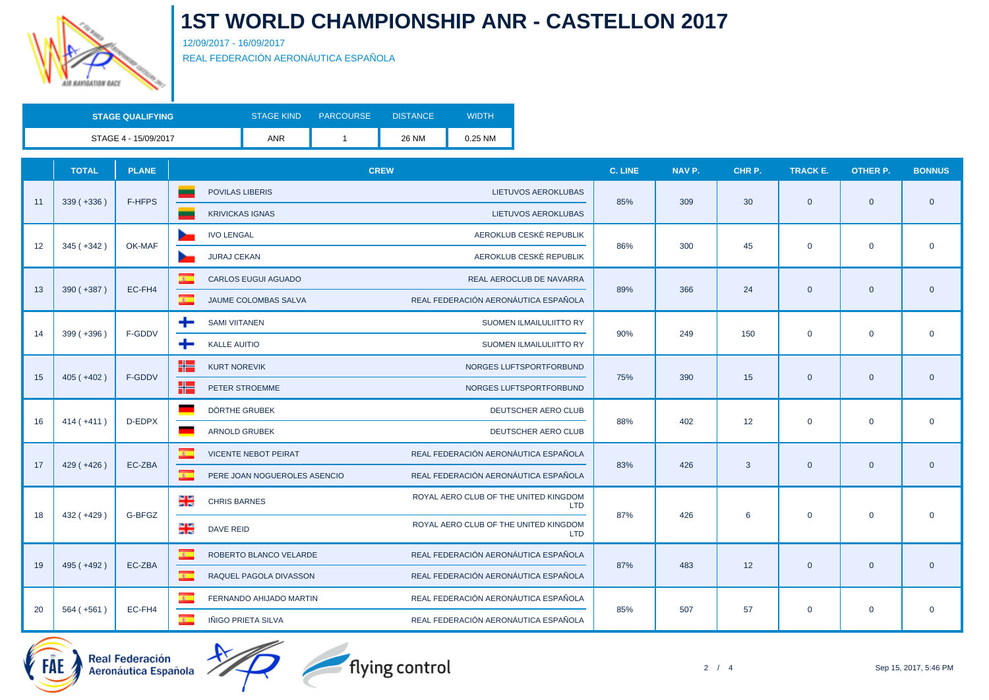

12/09/2017 - 16/09/2017

REAL FEDERACIÓN AERONÁUTICA ESPAÑOLA

| <b>STAGE QUALIFYING</b> | <b>STAGE KIND</b> | <b>PARCOURSE</b> | <b>DISTANCE</b> | WIDTH   |
|-------------------------|-------------------|------------------|-----------------|---------|
| STAGE 4 - 15/09/2017    | ANR               |                  | 26 NM           | 0.25 NM |

|    | <b>TOTAL</b> | <b>PLANE</b> | <b>CREW</b>                                             |                                                            | C. LINE<br>NAV P. | CHR P.       | <b>TRACK E.</b>      | <b>OTHER P.</b> | <b>BONNUS</b> |
|----|--------------|--------------|---------------------------------------------------------|------------------------------------------------------------|-------------------|--------------|----------------------|-----------------|---------------|
| 11 | $339 (+336)$ | F-HFPS       | <b>POVILAS LIBERIS</b>                                  | LIETUVOS AEROKLUBAS<br>85%                                 | 309               |              | 30<br>$\overline{0}$ | $\mathbf{0}$    |               |
|    |              |              | <b>KRIVICKAS IGNAS</b>                                  | <b>LIETUVOS AEROKLUBAS</b>                                 |                   |              |                      |                 | $\mathbf{0}$  |
|    |              | OK-MAF       | <b>IVO LENGAL</b>                                       | AEROKLUB CESKÈ REPUBLIK                                    |                   | 45           |                      |                 |               |
| 12 | $345 (+342)$ |              | <b>JURAJ CEKAN</b>                                      | 86%<br>AEROKLUB CESKÈ REPUBLIK                             | 300               |              | $\mathbf{0}$         | $\mathbf 0$     | $\mathbf 0$   |
|    |              |              | $\mathbf{z}$<br><b>CARLOS EUGUI AGUADO</b>              | REAL AEROCLUB DE NAVARRA                                   |                   |              |                      |                 |               |
| 13 | $390 (+387)$ | EC-FH4       | $\mathbf{R}$<br>JAUME COLOMBAS SALVA                    | 89%<br>REAL FEDERACIÓN AERONÁUTICA ESPAÑOLA                | 366               | 24           | $\mathbf{0}$         | $\mathbf{0}$    | $\mathbf 0$   |
|    |              |              | ÷<br><b>SAMI VIITANEN</b>                               | SUOMEN ILMAILULIITTO RY                                    |                   |              |                      | $\mathbf 0$     | $\mathbf 0$   |
| 14 | $399 (+396)$ | F-GDDV       | <b>KALLE AUITIO</b><br>÷                                | 90%<br>SUOMEN ILMAILULIITTO RY                             | 249               | 150          | $\mathbf 0$          |                 |               |
|    |              |              | ٢٢<br><b>KURT NOREVIK</b>                               | NORGES LUFTSPORTFORBUND                                    |                   |              | $\mathbf{0}$         | $\overline{0}$  |               |
| 15 | $405 (+402)$ | F-GDDV       | ٢٢<br>PETER STROEMME                                    | 75%<br>NORGES LUFTSPORTFORBUND                             | 390               | 15           |                      |                 | $\mathbf 0$   |
|    |              |              | DÖRTHE GRUBEK                                           | DEUTSCHER AERO CLUB                                        |                   |              | $\mathbf 0$          | $\mathbf 0$     |               |
| 16 | $414(+411)$  | D-EDPX       | <b>ARNOLD GRUBEK</b>                                    | 88%<br>DEUTSCHER AERO CLUB                                 | 402               | 12           |                      |                 | $\mathbf 0$   |
|    |              |              | $\overline{\mathbf{z}}$<br><b>VICENTE NEBOT PEIRAT</b>  | REAL FEDERACIÓN AERONÁUTICA ESPAÑOLA                       |                   |              |                      | $\mathbf{0}$    | $\mathbf 0$   |
| 17 | $429(+426)$  | EC-ZBA       | $\overline{\mathbf{g}}$<br>PERE JOAN NOGUEROLES ASENCIO | 83%<br>REAL FEDERACIÓN AERONÁUTICA ESPAÑOLA                | 426               | $\mathbf{3}$ | $\mathbf{0}$         |                 |               |
|    |              | G-BFGZ       | 强<br><b>CHRIS BARNES</b>                                | ROYAL AERO CLUB OF THE UNITED KINGDOM<br><b>LTD</b>        |                   |              |                      |                 |               |
| 18 | $432 (+429)$ |              | 레<br><b>DAVE REID</b>                                   | 87%<br>ROYAL AERO CLUB OF THE UNITED KINGDOM<br><b>LTD</b> | 426               | 6            | $\mathbf 0$          | $\mathbf 0$     | $\mathbf 0$   |
|    |              |              | $\overline{\mathbf{z}}$<br>ROBERTO BLANCO VELARDE       | REAL FEDERACIÓN AERONÁUTICA ESPAÑOLA                       |                   |              |                      |                 |               |
| 19 | 495 (+492)   | EC-ZBA       | $\mathbf{c}$<br>RAQUEL PAGOLA DIVASSON                  | 87%<br>REAL FEDERACIÓN AERONÁUTICA ESPAÑOLA                | 483               | 12           | $\mathbf{0}$         | $\mathbf{0}$    | $\mathbf 0$   |
|    |              |              | $\overline{\mathbf{c}}$<br>FERNANDO AHIJADO MARTIN      | REAL FEDERACIÓN AERONÁUTICA ESPAÑOLA                       |                   |              |                      |                 |               |
| 20 | $564 (+561)$ | EC-FH4       | $\overline{R}$<br>IÑIGO PRIETA SILVA                    | 85%<br>REAL FEDERACIÓN AERONÁUTICA ESPAÑOLA                | 507               | 57           | $\mathbf 0$          | $\mathbf 0$     | $\mathbf 0$   |





flying control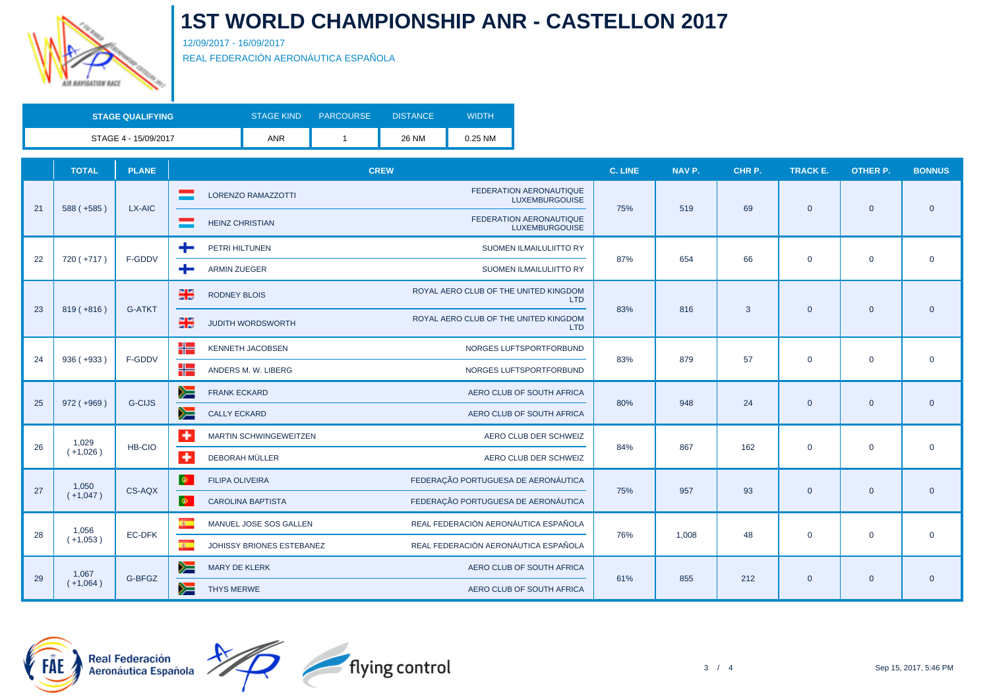

12/09/2017 - 16/09/2017

REAL FEDERACIÓN AERONÁUTICA ESPAÑOLA

| <b>STAGE QUALIFYING</b> | <b>STAGE KIND</b> | <b>PARCOURSE</b> | <b>DISTANCE</b> | <b>WIDTH</b> |
|-------------------------|-------------------|------------------|-----------------|--------------|
| STAGE 4 - 15/09/2017    | <b>ANR</b>        |                  | <b>26 NM</b>    | 0.25 NM      |

|    | <b>TOTAL</b>                             | <b>PLANE</b>  | <b>CREW</b>                                                                          | C. LINE | NAV P.       | CHR P. | <b>TRACK E.</b> | <b>OTHER P.</b> | <b>BONNUS</b> |
|----|------------------------------------------|---------------|--------------------------------------------------------------------------------------|---------|--------------|--------|-----------------|-----------------|---------------|
| 21 | $588 (+585)$                             | LX-AIC        | FEDERATION AERONAUTIQUE<br><b>LORENZO RAMAZZOTTI</b><br><b>LUXEMBURGOUISE</b>        | 75%     | 519          | 69     |                 |                 | $\mathbf{0}$  |
|    |                                          |               | FEDERATION AERONAUTIQUE<br><b>HEINZ CHRISTIAN</b><br><b>LUXEMBURGOUISE</b>           |         |              |        | $\overline{0}$  | $\overline{0}$  |               |
|    |                                          | F-GDDV        | ÷<br>PETRI HILTUNEN<br>SUOMEN ILMAILULIITTO RY                                       | 87%     | 654          |        |                 |                 |               |
| 22 | 720 (+717)                               |               | ÷<br><b>ARMIN ZUEGER</b><br>SUOMEN ILMAILULIITTO RY                                  |         |              | 66     | $\mathbf 0$     | $\mathbf 0$     | $\mathbf 0$   |
|    |                                          | <b>G-ATKT</b> | ROYAL AERO CLUB OF THE UNITED KINGDOM<br>물<br><b>RODNEY BLOIS</b><br><b>LTD</b>      |         | 816          |        |                 | $\overline{0}$  |               |
|    | $819 (+816)$<br>23<br>24<br>$936 (+933)$ |               | ROYAL AERO CLUB OF THE UNITED KINGDOM<br>强<br><b>JUDITH WORDSWORTH</b><br><b>LTD</b> | 83%     |              | 3      | $\mathbf{0}$    |                 | $\mathbf{0}$  |
|    |                                          |               | ╉═<br><b>KENNETH JACOBSEN</b><br>NORGES LUFTSPORTFORBUND                             |         | 879          | 57     | $\mathbf 0$     | $\mathbf 0$     |               |
|    |                                          | F-GDDV        | ╬<br>ANDERS M. W. LIBERG<br>NORGES LUFTSPORTFORBUND                                  | 83%     |              |        |                 |                 | $\mathbf 0$   |
|    |                                          | <b>G-CIJS</b> | ➣<br><b>FRANK ECKARD</b><br>AERO CLUB OF SOUTH AFRICA                                |         | 948          | 24     | $\overline{0}$  | $\mathbf{0}$    |               |
| 25 | $972 (+969)$                             |               | y≡<br><b>CALLY ECKARD</b><br>AERO CLUB OF SOUTH AFRICA                               | 80%     |              |        |                 |                 | $\mathbf{0}$  |
|    | 1,029                                    |               | ٠<br>MARTIN SCHWINGEWEITZEN<br>AERO CLUB DER SCHWEIZ                                 |         |              |        |                 | $\mathbf 0$     |               |
| 26 | $(+1,026)$                               | HB-CIO        | $\ddot{}$<br>DEBORAH MÜLLER<br>AERO CLUB DER SCHWEIZ                                 | 84%     | 867          | 162    | $\mathbf 0$     |                 | $\mathbf 0$   |
|    | 1,050                                    |               | $\Phi$ .<br>FEDERAÇÃO PORTUGUESA DE AERONÁUTICA<br><b>FILIPA OLIVEIRA</b>            |         |              |        |                 |                 |               |
| 27 | $(+1,047)$                               | CS-AQX        | $\otimes$<br>FEDERAÇÃO PORTUGUESA DE AERONÁUTICA<br><b>CAROLINA BAPTISTA</b>         | 75%     | 957          | 93     | $\overline{0}$  | $\mathbf{0}$    | $\mathbf{0}$  |
|    | 1,056                                    |               | $\overline{R}$<br>REAL FEDERACIÓN AERONÁUTICA ESPAÑOLA<br>MANUEL JOSE SOS GALLEN     |         |              |        |                 |                 |               |
| 28 | $(+1,053)$                               | EC-DFK        | $\mathbf{c}$<br>REAL FEDERACIÓN AERONÁUTICA ESPAÑOLA<br>JOHISSY BRIONES ESTEBANEZ    |         | 76%<br>1,008 | 48     | $\mathbf 0$     | $\mathbf{0}$    | $\mathbf 0$   |
|    | 1,067                                    |               | ≽≡<br><b>MARY DE KLERK</b><br>AERO CLUB OF SOUTH AFRICA                              |         |              |        |                 |                 |               |
| 29 | $(+1,064)$                               | G-BFGZ        | y≡<br><b>THYS MERWE</b><br>AERO CLUB OF SOUTH AFRICA                                 | 61%     | 855          | 212    | $\mathbf 0$     | $\overline{0}$  | $\mathbf{0}$  |